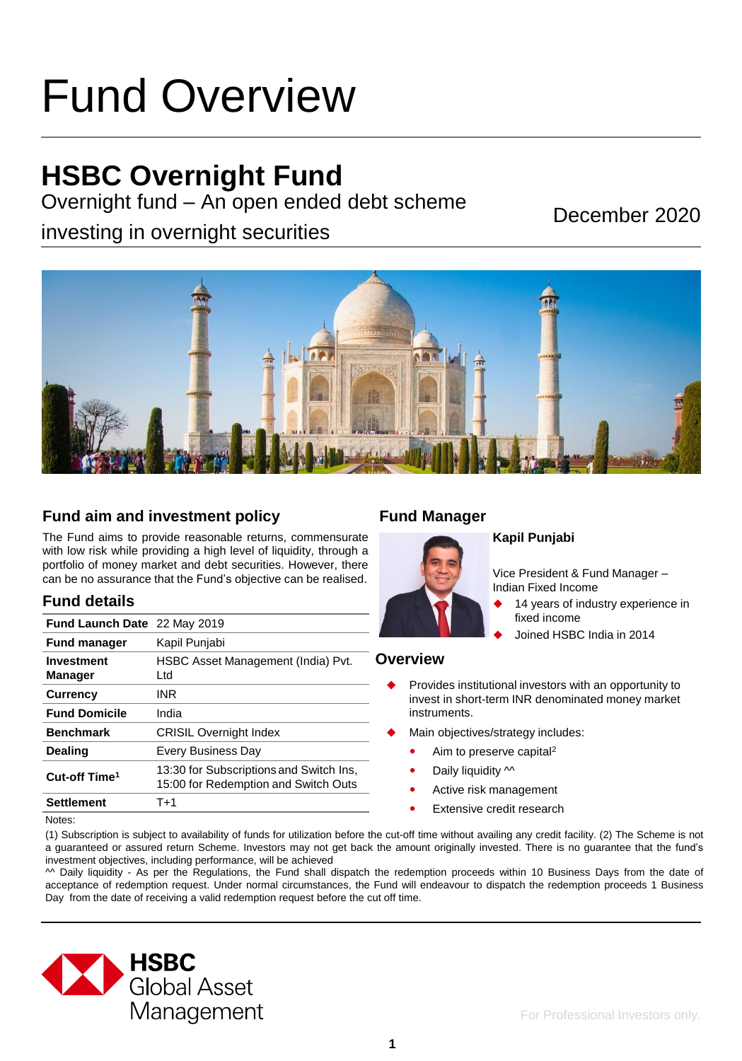# Fund Overview

### **HSBC Overnight Fund**

Overnight fund – An open ended debt scheme

investing in overnight securities

December 2020



#### **Fund aim and investment policy**

The Fund aims to provide reasonable returns, commensurate with low risk while providing a high level of liquidity, through a portfolio of money market and debt securities. However, there can be no assurance that the Fund's objective can be realised.

#### **Fund details**

| <b>Fund Launch Date</b> 22 May 2019 |                                                                                 |
|-------------------------------------|---------------------------------------------------------------------------------|
| <b>Fund manager</b>                 | Kapil Punjabi                                                                   |
| Investment<br><b>Manager</b>        | HSBC Asset Management (India) Pvt.<br>Ltd.                                      |
| <b>Currency</b>                     | INR                                                                             |
| <b>Fund Domicile</b>                | India                                                                           |
| <b>Benchmark</b>                    | <b>CRISIL Overnight Index</b>                                                   |
| <b>Dealing</b>                      | <b>Every Business Day</b>                                                       |
| Cut-off Time <sup>1</sup>           | 13:30 for Subscriptions and Switch Ins,<br>15:00 for Redemption and Switch Outs |
| <b>Settlement</b>                   | T+1                                                                             |

#### **Fund Manager**



#### **Kapil Punjabi**

Vice President & Fund Manager – Indian Fixed Income

- 14 years of industry experience in fixed income
- Joined HSBC India in 2014

#### **Overview**

- Provides institutional investors with an opportunity to invest in short-term INR denominated money market instruments.
- Main objectives/strategy includes:
	- Aim to preserve capital<sup>2</sup>
	- Daily liquidity  $\sim$
	- Active risk management
	- **•** Extensive credit research

Notes:

(1) Subscription is subject to availability of funds for utilization before the cut-off time without availing any credit facility. (2) The Scheme is not a guaranteed or assured return Scheme. Investors may not get back the amount originally invested. There is no guarantee that the fund's investment objectives, including performance, will be achieved

^^ Daily liquidity - As per the Regulations, the Fund shall dispatch the redemption proceeds within 10 Business Days from the date of acceptance of redemption request. Under normal circumstances, the Fund will endeavour to dispatch the redemption proceeds 1 Business Day from the date of receiving a valid redemption request before the cut off time.

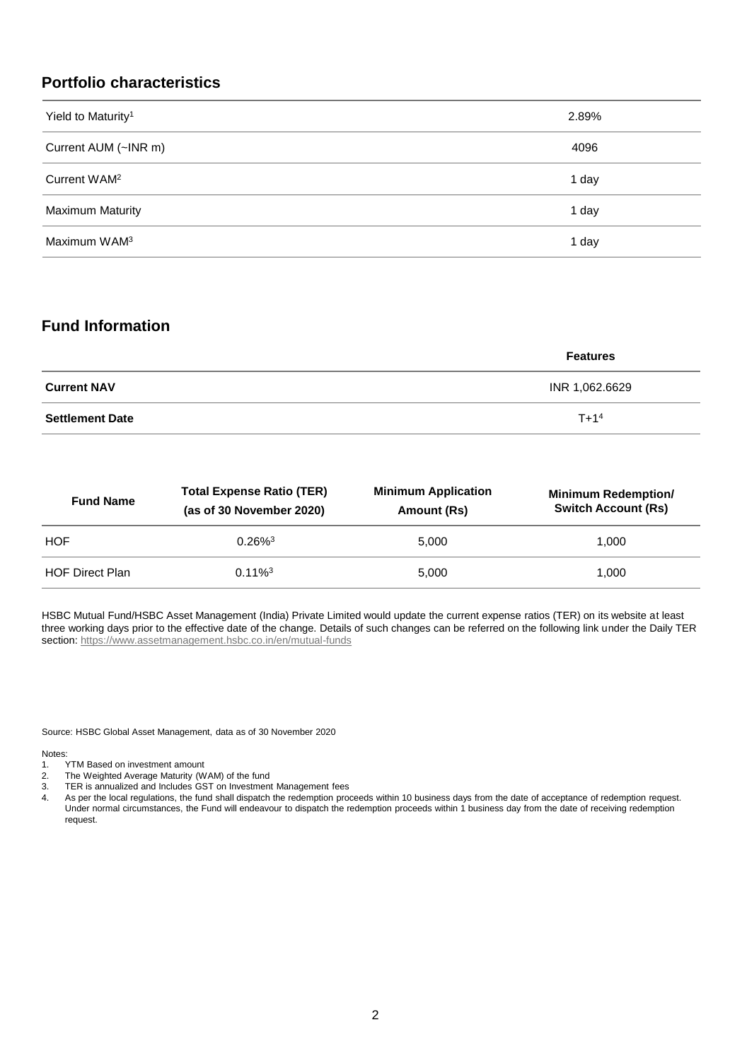#### **Portfolio characteristics**

| Yield to Maturity <sup>1</sup> | 2.89% |
|--------------------------------|-------|
| Current AUM (~INR m)           | 4096  |
| Current WAM <sup>2</sup>       | 1 day |
| <b>Maximum Maturity</b>        | 1 day |
| Maximum WAM <sup>3</sup>       | 1 day |

#### **Fund Information**

|                        | <b>Features</b> |
|------------------------|-----------------|
| <b>Current NAV</b>     | INR 1,062.6629  |
| <b>Settlement Date</b> | $T + 14$        |

| <b>Total Expense Ratio (TER)</b><br><b>Fund Name</b><br>(as of 30 November 2020) |                       | <b>Minimum Application</b><br>Amount (Rs) | <b>Minimum Redemption/</b><br><b>Switch Account (Rs)</b> |
|----------------------------------------------------------------------------------|-----------------------|-------------------------------------------|----------------------------------------------------------|
| <b>HOF</b>                                                                       | $0.26\%$ <sup>3</sup> | 5.000                                     | 1.000                                                    |
| <b>HOF Direct Plan</b>                                                           | $0.11\%$ <sup>3</sup> | 5.000                                     | 1.000                                                    |

HSBC Mutual Fund/HSBC Asset Management (India) Private Limited would update the current expense ratios (TER) on its website at least three working days prior to the effective date of the change. Details of such changes can be referred on the following link under the Daily TER section:<https://www.assetmanagement.hsbc.co.in/en/mutual-funds>

Source: HSBC Global Asset Management, data as of 30 November 2020

Notes:<br>1.

- TYTM Based on investment amount
- 2. The Weighted Average Maturity (WAM) of the fund
- 3. TER is annualized and Includes GST on Investment Management fees
- 4. As per the local regulations, the fund shall dispatch the redemption proceeds within 10 business days from the date of acceptance of redemption request. Under normal circumstances, the Fund will endeavour to dispatch the redemption proceeds within 1 business day from the date of receiving redemption request.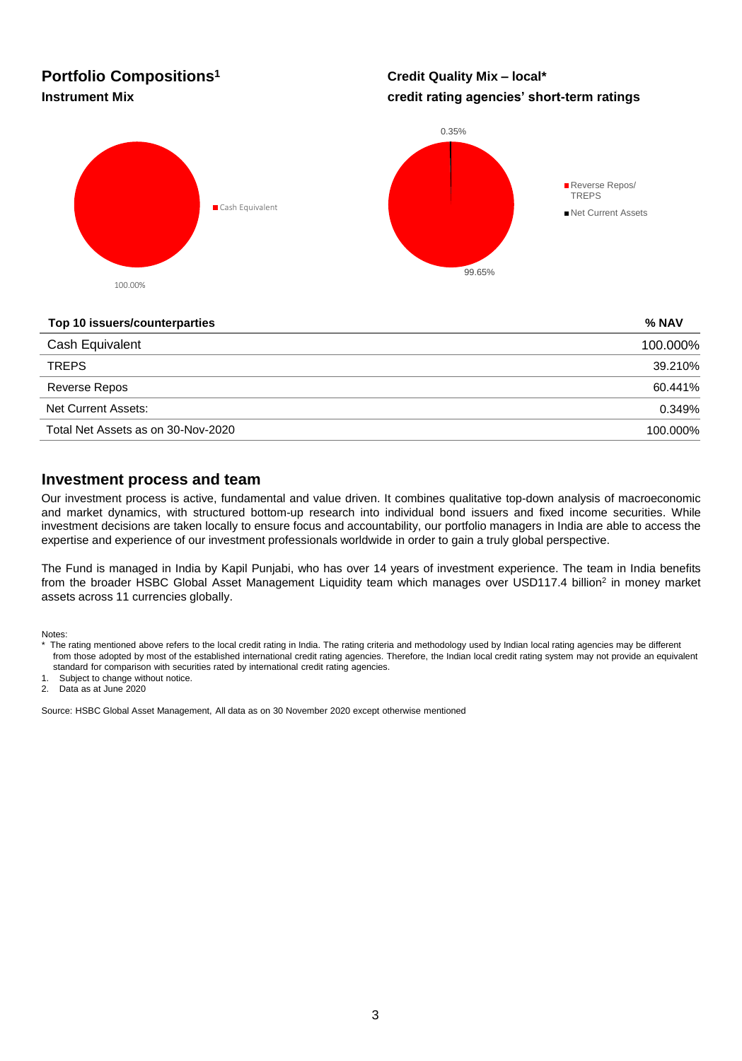## **Portfolio Compositions<sup>1</sup>**

#### **Credit Quality Mix – local\* Instrument Mix credit rating agencies' short-term ratings**



#### **Top 10 issuers/counterparties % NAV**

| 100.000% |
|----------|
| 39.210%  |
| 60.441%  |
| 0.349%   |
| 100.000% |
|          |

#### **Investment process and team**

Our investment process is active, fundamental and value driven. It combines qualitative top-down analysis of macroeconomic and market dynamics, with structured bottom-up research into individual bond issuers and fixed income securities. While investment decisions are taken locally to ensure focus and accountability, our portfolio managers in India are able to access the expertise and experience of our investment professionals worldwide in order to gain a truly global perspective.

The Fund is managed in India by Kapil Punjabi, who has over 14 years of investment experience. The team in India benefits from the broader HSBC Global Asset Management Liquidity team which manages over USD117.4 billion<sup>2</sup> in money market assets across 11 currencies globally.

Notes:

1. Subject to change without notice.

2. Data as at June 2020

Source: HSBC Global Asset Management, All data as on 30 November 2020 except otherwise mentioned

The rating mentioned above refers to the local credit rating in India. The rating criteria and methodology used by Indian local rating agencies may be different from those adopted by most of the established international credit rating agencies. Therefore, the Indian local credit rating system may not provide an equivalent standard for comparison with securities rated by international credit rating agencies.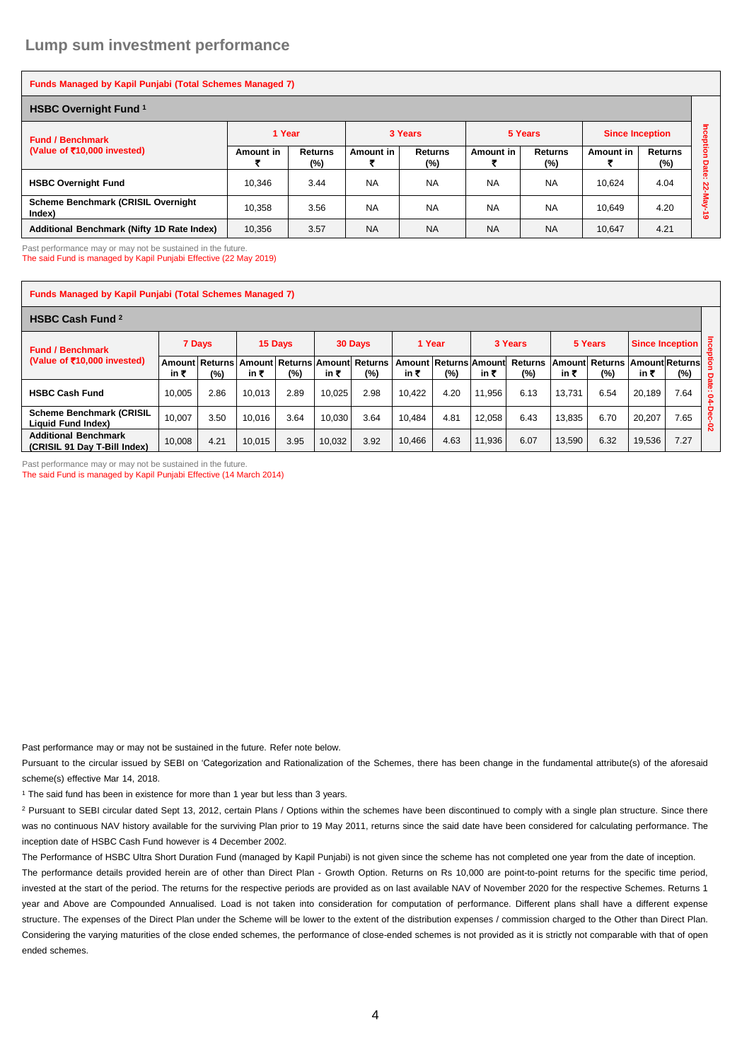| <b>Funds Managed by Kapil Punjabi (Total Schemes Managed 7)</b> |           |                          |           |                |           |                       |                        |                          |                |  |  |  |
|-----------------------------------------------------------------|-----------|--------------------------|-----------|----------------|-----------|-----------------------|------------------------|--------------------------|----------------|--|--|--|
| <b>HSBC Overnight Fund 1</b>                                    |           |                          |           |                |           |                       |                        |                          |                |  |  |  |
| <b>Fund / Benchmark</b>                                         | 1 Year    |                          |           | 3 Years        |           | 5 Years               | <b>Since Inception</b> |                          | Inception      |  |  |  |
| (Value of $\bar{z}$ 10,000 invested)                            | Amount in | <b>Returns</b><br>$(\%)$ | Amount in | Returns<br>(%) | Amount in | <b>Returns</b><br>(%) | Amount in              | <b>Returns</b><br>$(\%)$ | Date           |  |  |  |
| <b>HSBC Overnight Fund</b>                                      | 10.346    | 3.44                     | <b>NA</b> | <b>NA</b>      | <b>NA</b> | <b>NA</b>             | 10.624                 | 4.04                     | <b>22-M</b>    |  |  |  |
| <b>Scheme Benchmark (CRISIL Overnight</b><br>Index)             | 10.358    | 3.56                     | <b>NA</b> | <b>NA</b>      | <b>NA</b> | <b>NA</b>             | 10.649                 | 4.20                     | ہے<br>$\omega$ |  |  |  |
| Additional Benchmark (Nifty 1D Rate Index)                      | 10,356    | 3.57                     | <b>NA</b> | <b>NA</b>      | <b>NA</b> | <b>NA</b>             | 10,647                 | 4.21                     |                |  |  |  |

Past performance may or may not be sustained in the future. The said Fund is managed by Kapil Punjabi Effective (22 May 2019)

| <b>Funds Managed by Kapil Punjabi (Total Schemes Managed 7)</b> |        |                       |               |         |        |                                   |        |                              |        |                          |        |                                        |        |                                   |                   |
|-----------------------------------------------------------------|--------|-----------------------|---------------|---------|--------|-----------------------------------|--------|------------------------------|--------|--------------------------|--------|----------------------------------------|--------|-----------------------------------|-------------------|
| <b>HSBC Cash Fund 2</b>                                         |        |                       |               |         |        |                                   |        |                              |        |                          |        |                                        |        |                                   |                   |
| <b>Fund / Benchmark</b>                                         | 7 Days |                       |               | 15 Days |        | 30 Days                           |        | 1 Year                       |        | 3 Years                  |        | 5 Years                                |        | $\overline{a}$<br>Since Inception |                   |
| (Value of ₹10,000 invested)                                     | in ₹   | Amount Returns<br>(%) | Amount<br>in₹ | (%)     | in ₹   | Returns   Amount   Returns<br>(%) | in ₹   | Amount Returns Amount<br>(%) | in ₹   | <b>Returns</b><br>$(\%)$ | in ₹   | Amount Returns   Amount Returns<br>(%) | in ₹   | (%)                               | ĝ                 |
| <b>HSBC Cash Fund</b>                                           | 10.005 | 2.86                  | 10.013        | 2.89    | 10.025 | 2.98                              | 10.422 | 4.20                         | 11.956 | 6.13                     | 13.731 | 6.54                                   | 20.189 | 7.64                              | <b>Date:</b><br>2 |
| <b>Scheme Benchmark (CRISIL</b><br>Liquid Fund Index)           | 10.007 | 3.50                  | 10.016        | 3.64    | 10.030 | 3.64                              | 10.484 | 4.81                         | 12.058 | 6.43                     | 13.835 | 6.70                                   | 20.207 | 7.65                              | Dec-02            |
| <b>Additional Benchmark</b><br>(CRISIL 91 Day T-Bill Index)     | 10,008 | 4.21                  | 10.015        | 3.95    | 10,032 | 3.92                              | 10,466 | 4.63                         | 11,936 | 6.07                     | 13,590 | 6.32                                   | 19,536 | 7.27                              |                   |

Past performance may or may not be sustained in the future. The said Fund is managed by Kapil Punjabi Effective (14 March 2014)

Past performance may or may not be sustained in the future. Refer note below.

Pursuant to the circular issued by SEBI on 'Categorization and Rationalization of the Schemes, there has been change in the fundamental attribute(s) of the aforesaid scheme(s) effective Mar 14, 2018.

<sup>1</sup> The said fund has been in existence for more than 1 year but less than 3 years.

<sup>2</sup> Pursuant to SEBI circular dated Sept 13, 2012, certain Plans / Options within the schemes have been discontinued to comply with a single plan structure. Since there was no continuous NAV history available for the surviving Plan prior to 19 May 2011, returns since the said date have been considered for calculating performance. The inception date of HSBC Cash Fund however is 4 December 2002.

The Performance of HSBC Ultra Short Duration Fund (managed by Kapil Punjabi) is not given since the scheme has not completed one year from the date of inception. The performance details provided herein are of other than Direct Plan - Growth Option. Returns on Rs 10,000 are point-to-point returns for the specific time period, invested at the start of the period. The returns for the respective periods are provided as on last available NAV of November 2020 for the respective Schemes. Returns 1 year and Above are Compounded Annualised. Load is not taken into consideration for computation of performance. Different plans shall have a different expense structure. The expenses of the Direct Plan under the Scheme will be lower to the extent of the distribution expenses / commission charged to the Other than Direct Plan. Considering the varying maturities of the close ended schemes, the performance of close-ended schemes is not provided as it is strictly not comparable with that of open ended schemes.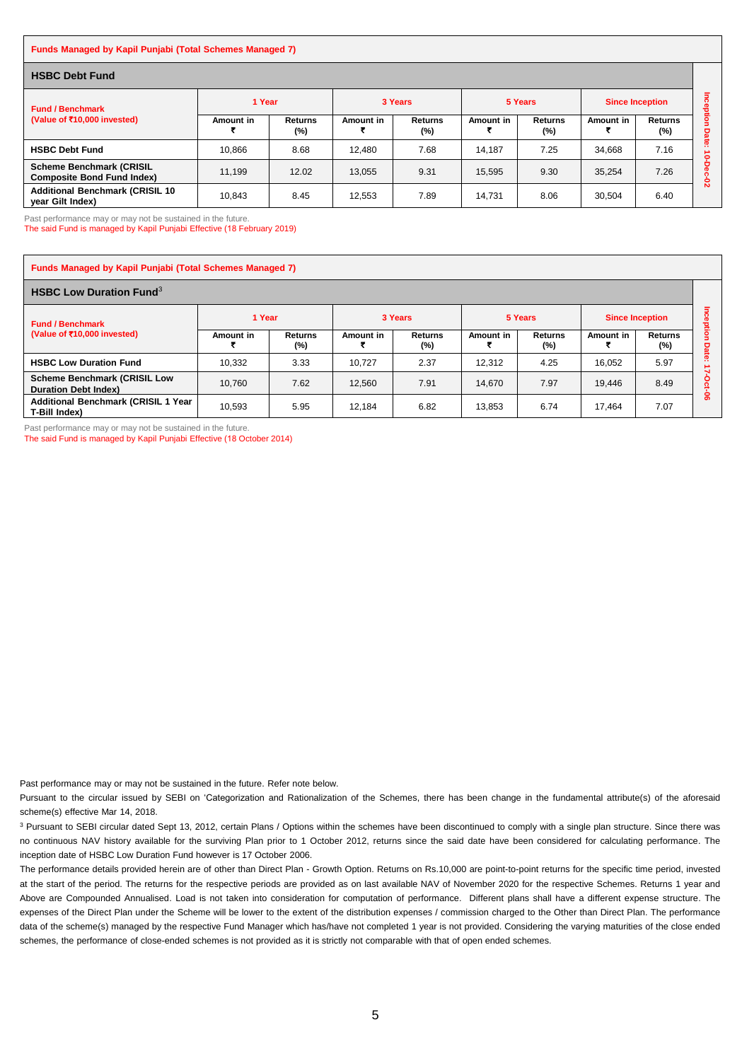#### **Funds Managed by Kapil Punjabi (Total Schemes Managed 7)**

| <b>HSBC Debt Fund</b>                                                |           |                       |           |                          |           |                       |                        |                          |                     |  |  |  |
|----------------------------------------------------------------------|-----------|-----------------------|-----------|--------------------------|-----------|-----------------------|------------------------|--------------------------|---------------------|--|--|--|
| <b>Fund / Benchmark</b><br>(Value of ₹10,000 invested)               | 1 Year    |                       |           | 3 Years                  |           | 5 Years               | <b>Since Inception</b> |                          | ā<br>ᄒ              |  |  |  |
|                                                                      | Amount in | <b>Returns</b><br>(%) | Amount in | <b>Returns</b><br>$(\%)$ | Amount in | <b>Returns</b><br>(%) | Amount in              | <b>Returns</b><br>$(\%)$ | igo<br><b>Date:</b> |  |  |  |
| <b>HSBC Debt Fund</b>                                                | 10.866    | 8.68                  | 12.480    | 7.68                     | 14.187    | 7.25                  | 34.668                 | 7.16                     | ۰                   |  |  |  |
| <b>Scheme Benchmark (CRISIL</b><br><b>Composite Bond Fund Index)</b> | 11.199    | 12.02                 | 13.055    | 9.31                     | 15.595    | 9.30                  | 35.254                 | 7.26                     | ន                   |  |  |  |
| <b>Additional Benchmark (CRISIL 10)</b><br>year Gilt Index)          | 10.843    | 8.45                  | 12.553    | 7.89                     | 14.731    | 8.06                  | 30,504                 | 6.40                     |                     |  |  |  |

Past performance may or may not be sustained in the future.

The said Fund is managed by Kapil Punjabi Effective (18 February 2019)

| <b>Funds Managed by Kapil Punjabi (Total Schemes Managed 7)</b>    |           |                   |           |                       |           |                       |                        |                           |           |  |  |  |  |
|--------------------------------------------------------------------|-----------|-------------------|-----------|-----------------------|-----------|-----------------------|------------------------|---------------------------|-----------|--|--|--|--|
| <b>HSBC Low Duration Fund</b> <sup>3</sup>                         |           |                   |           |                       |           |                       |                        |                           |           |  |  |  |  |
| <b>Fund / Benchmark</b><br>(Value of ₹10,000 invested)             | 1 Year    |                   | 3 Years   |                       | 5 Years   |                       | <b>Since Inception</b> |                           | 훂         |  |  |  |  |
|                                                                    | Amount in | Returns<br>$(\%)$ | Amount in | <b>Returns</b><br>(%) | Amount in | <b>Returns</b><br>(%) | Amount in              | <b>Returns</b><br>$(\% )$ | g<br>Date |  |  |  |  |
| <b>HSBC Low Duration Fund</b>                                      | 10.332    | 3.33              | 10.727    | 2.37                  | 12.312    | 4.25                  | 16.052                 | 5.97                      | n         |  |  |  |  |
| <b>Scheme Benchmark (CRISIL Low</b><br><b>Duration Debt Index)</b> | 10.760    | 7.62              | 12.560    | 7.91                  | 14.670    | 7.97                  | 19.446                 | 8.49                      | o         |  |  |  |  |
| <b>Additional Benchmark (CRISIL 1 Year</b><br>T-Bill Index)        | 10.593    | 5.95              | 12.184    | 6.82                  | 13.853    | 6.74                  | 17.464                 | 7.07                      | ႙ၟ        |  |  |  |  |

Past performance may or may not be sustained in the future. The said Fund is managed by Kapil Punjabi Effective (18 October 2014)

Past performance may or may not be sustained in the future. Refer note below.

Pursuant to the circular issued by SEBI on 'Categorization and Rationalization of the Schemes, there has been change in the fundamental attribute(s) of the aforesaid scheme(s) effective Mar 14, 2018.

<sup>3</sup> Pursuant to SEBI circular dated Sept 13, 2012, certain Plans / Options within the schemes have been discontinued to comply with a single plan structure. Since there was no continuous NAV history available for the surviving Plan prior to 1 October 2012, returns since the said date have been considered for calculating performance. The inception date of HSBC Low Duration Fund however is 17 October 2006.

The performance details provided herein are of other than Direct Plan - Growth Option. Returns on Rs.10,000 are point-to-point returns for the specific time period, invested at the start of the period. The returns for the respective periods are provided as on last available NAV of November 2020 for the respective Schemes. Returns 1 year and Above are Compounded Annualised. Load is not taken into consideration for computation of performance. Different plans shall have a different expense structure. The expenses of the Direct Plan under the Scheme will be lower to the extent of the distribution expenses / commission charged to the Other than Direct Plan. The performance data of the scheme(s) managed by the respective Fund Manager which has/have not completed 1 year is not provided. Considering the varying maturities of the close ended schemes, the performance of close-ended schemes is not provided as it is strictly not comparable with that of open ended schemes.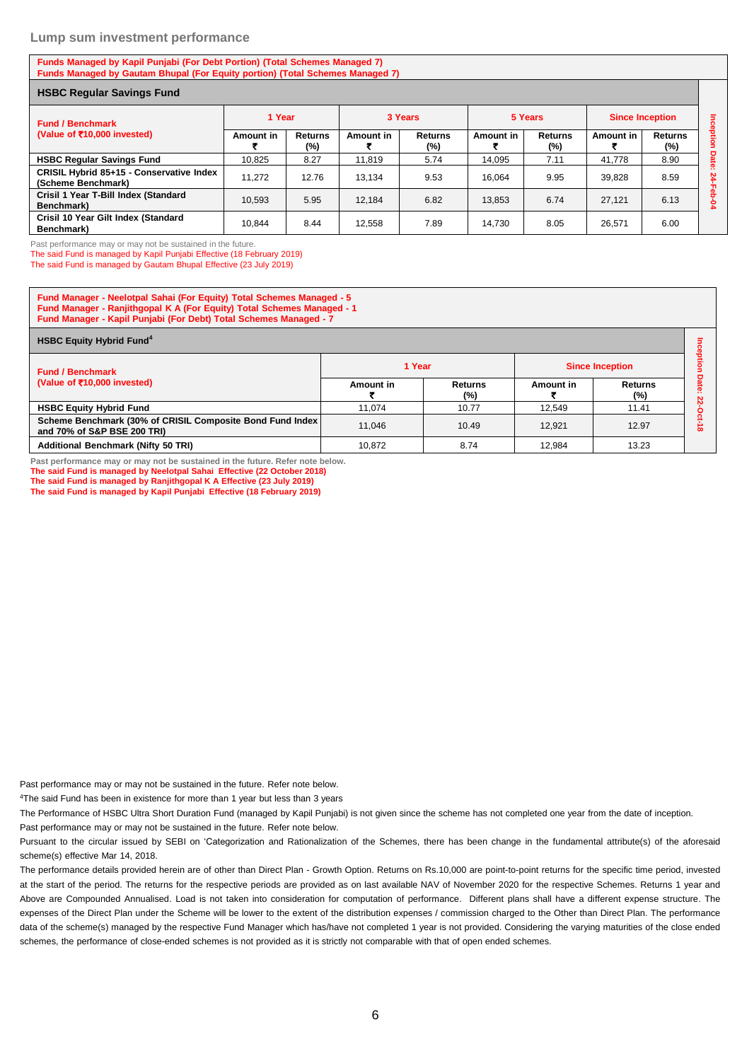#### **Lump sum investment performance**

**Funds Managed by Kapil Punjabi (For Debt Portion) (Total Schemes Managed 7) Funds Managed by Gautam Bhupal (For Equity portion) (Total Schemes Managed 7)**

| <b>HSBC Regular Savings Fund</b>                               |           |                          |           |                   |           |                       |                        |                       |         |  |  |
|----------------------------------------------------------------|-----------|--------------------------|-----------|-------------------|-----------|-----------------------|------------------------|-----------------------|---------|--|--|
| <b>Fund / Benchmark</b><br>(Value of ₹10,000 invested)         | 1 Year    |                          | 3 Years   |                   |           | 5 Years               | <b>Since Inception</b> |                       | Ξ       |  |  |
|                                                                | Amount in | <b>Returns</b><br>$(\%)$ | Amount in | Returns<br>$(\%)$ | Amount in | <b>Returns</b><br>(%) | Amount in              | <b>Returns</b><br>(%) | reption |  |  |
| <b>HSBC Regular Savings Fund</b>                               | 10.825    | 8.27                     | 11.819    | 5.74              | 14.095    | 7.11                  | 41,778                 | 8.90                  | Date    |  |  |
| CRISIL Hybrid 85+15 - Conservative Index<br>(Scheme Benchmark) | 11.272    | 12.76                    | 13.134    | 9.53              | 16.064    | 9.95                  | 39.828                 | 8.59                  | 24<br>공 |  |  |
| Crisil 1 Year T-Bill Index (Standard<br>Benchmark)             | 10.593    | 5.95                     | 12.184    | 6.82              | 13.853    | 6.74                  | 27.121                 | 6.13                  | õ<br>ደ  |  |  |
| Crisil 10 Year Gilt Index (Standard<br>Benchmark)              | 10,844    | 8.44                     | 12.558    | 7.89              | 14,730    | 8.05                  | 26,571                 | 6.00                  |         |  |  |

Past performance may or may not be sustained in the future.

The said Fund is managed by Kapil Punjabi Effective (18 February 2019)

The said Fund is managed by Gautam Bhupal Effective (23 July 2019)

| Fund Manager - Neelotpal Sahai (For Equity) Total Schemes Managed - 5<br>Fund Manager - Ranjithgopal K A (For Equity) Total Schemes Managed - 1<br>Fund Manager - Kapil Punjabi (For Debt) Total Schemes Managed - 7 |           |                |           |                          |  |  |  |  |  |  |  |
|----------------------------------------------------------------------------------------------------------------------------------------------------------------------------------------------------------------------|-----------|----------------|-----------|--------------------------|--|--|--|--|--|--|--|
| <b>HSBC Equity Hybrid Fund<sup>4</sup></b>                                                                                                                                                                           |           |                |           |                          |  |  |  |  |  |  |  |
| <b>Fund / Benchmark</b>                                                                                                                                                                                              | 1 Year    |                |           | <b>Since Inception</b>   |  |  |  |  |  |  |  |
| (Value of ₹10,000 invested)                                                                                                                                                                                          | Amount in | Returns<br>(%) | Amount in | <b>Returns</b><br>$(\%)$ |  |  |  |  |  |  |  |
| <b>HSBC Equity Hybrid Fund</b>                                                                                                                                                                                       | 11.074    | 10.77          | 12.549    | 11.41                    |  |  |  |  |  |  |  |
| Scheme Benchmark (30% of CRISIL Composite Bond Fund Index<br>and 70% of S&P BSE 200 TRI)                                                                                                                             | 11.046    | 10.49          | 12.921    | 12.97                    |  |  |  |  |  |  |  |
| <b>Additional Benchmark (Nifty 50 TRI)</b>                                                                                                                                                                           | 10.872    | 8.74           | 12.984    | 13.23                    |  |  |  |  |  |  |  |

**Past performance may or may not be sustained in the future. Refer note below. The said Fund is managed by Neelotpal Sahai Effective (22 October 2018) The said Fund is managed by Ranjithgopal K A Effective (23 July 2019)**

**The said Fund is managed by Kapil Punjabi Effective (18 February 2019)**

Past performance may or may not be sustained in the future. Refer note below.

<sup>4</sup>The said Fund has been in existence for more than 1 year but less than 3 years

The Performance of HSBC Ultra Short Duration Fund (managed by Kapil Punjabi) is not given since the scheme has not completed one year from the date of inception.

Past performance may or may not be sustained in the future. Refer note below.

Pursuant to the circular issued by SEBI on 'Categorization and Rationalization of the Schemes, there has been change in the fundamental attribute(s) of the aforesaid scheme(s) effective Mar 14, 2018.

The performance details provided herein are of other than Direct Plan - Growth Option. Returns on Rs.10,000 are point-to-point returns for the specific time period, invested at the start of the period. The returns for the respective periods are provided as on last available NAV of November 2020 for the respective Schemes. Returns 1 year and Above are Compounded Annualised. Load is not taken into consideration for computation of performance. Different plans shall have a different expense structure. The expenses of the Direct Plan under the Scheme will be lower to the extent of the distribution expenses / commission charged to the Other than Direct Plan. The performance data of the scheme(s) managed by the respective Fund Manager which has/have not completed 1 year is not provided. Considering the varying maturities of the close ended schemes, the performance of close-ended schemes is not provided as it is strictly not comparable with that of open ended schemes.